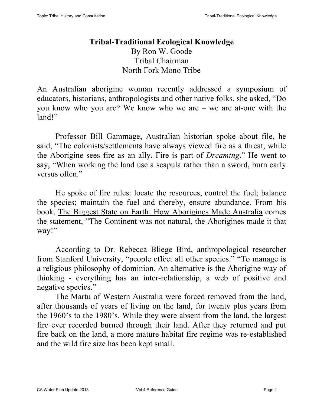## **Tribal-Traditional Ecological Knowledge** By Ron W. Goode Tribal Chairman North Fork Mono Tribe

An Australian aborigine woman recently addressed a symposium of educators, historians, anthropologists and other native folks, she asked, "Do you know who you are? We know who we are – we are at-one with the land!"

Professor Bill Gammage, Australian historian spoke about file, he said, "The colonists/settlements have always viewed fire as a threat, while the Aborigine sees fire as an ally. Fire is part of *Dreaming*." He went to say, "When working the land use a scapula rather than a sword, burn early versus often."

He spoke of fire rules: locate the resources, control the fuel; balance the species; maintain the fuel and thereby, ensure abundance. From his book, The Biggest State on Earth: How Aborigines Made Australia comes the statement, "The Continent was not natural, the Aborigines made it that way!"

According to Dr. Rebecca Bliege Bird, anthropological researcher from Stanford University, "people effect all other species." "To manage is a religious philosophy of dominion. An alternative is the Aborigine way of thinking - everything has an inter-relationship, a web of positive and negative species."

The Martu of Western Australia were forced removed from the land, after thousands of years of living on the land, for twenty plus years from the 1960's to the 1980's. While they were absent from the land, the largest fire ever recorded burned through their land. After they returned and put fire back on the land, a more mature habitat fire regime was re-established and the wild fire size has been kept small.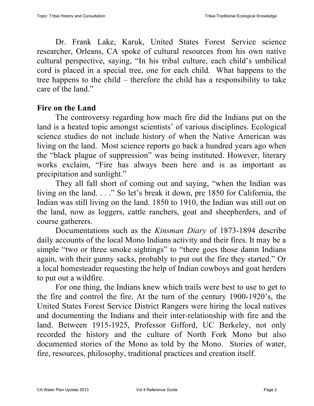Dr. Frank Lake, Karuk, United States Forest Service science researcher, Orleans, CA spoke of cultural resources from his own native cultural perspective, saying, "In his tribal culture, each child's umbilical cord is placed in a special tree, one for each child. What happens to the tree happens to the child – therefore the child has a responsibility to take care of the land."

## **Fire on the Land**

The controversy regarding how much fire did the Indians put on the land is a heated topic amongst scientists' of various disciplines. Ecological science studies do not include history of when the Native American was living on the land. Most science reports go back a hundred years ago when the "black plague of suppression" was being instituted. However, literary works exclaim, "Fire has always been here and is as important as precipitation and sunlight."

They all fall short of coming out and saying, "when the Indian was living on the land. . . ." So let's break it down, pre 1850 for California, the Indian was still living on the land. 1850 to 1910, the Indian was still out on the land, now as loggers, cattle ranchers, goat and sheepherders, and of course gatherers.

Documentations such as the *Kinsman Diary* of 1873-1894 describe daily accounts of the local Mono Indians activity and their fires. It may be a simple "two or three smoke sightings" to "there goes those damn Indians again, with their gunny sacks, probably to put out the fire they started." Or a local homesteader requesting the help of Indian cowboys and goat herders to put out a wildfire.

For one thing, the Indians knew which trails were best to use to get to the fire and control the fire. At the turn of the century 1900-1920's, the United States Forest Service District Rangers were hiring the local natives and documenting the Indians and their inter-relationship with fire and the land. Between 1915-1925, Professor Gifford, UC Berkeley, not only recorded the history and the culture of North Fork Mono but also documented stories of the Mono as told by the Mono. Stories of water, fire, resources, philosophy, traditional practices and creation itself.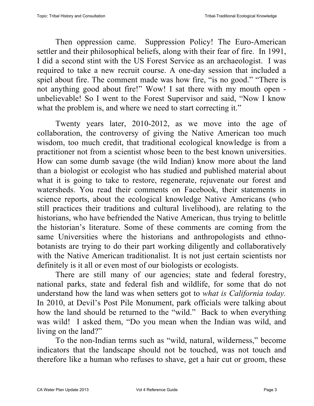Then oppression came. Suppression Policy! The Euro-American settler and their philosophical beliefs, along with their fear of fire. In 1991, I did a second stint with the US Forest Service as an archaeologist. I was required to take a new recruit course. A one-day session that included a spiel about fire. The comment made was how fire, "is no good." "There is not anything good about fire!" Wow! I sat there with my mouth open unbelievable! So I went to the Forest Supervisor and said, "Now I know what the problem is, and where we need to start correcting it."

Twenty years later, 2010-2012, as we move into the age of collaboration, the controversy of giving the Native American too much wisdom, too much credit, that traditional ecological knowledge is from a practitioner not from a scientist whose been to the best known universities. How can some dumb savage (the wild Indian) know more about the land than a biologist or ecologist who has studied and published material about what it is going to take to restore, regenerate, rejuvenate our forest and watersheds. You read their comments on Facebook, their statements in science reports, about the ecological knowledge Native Americans (who still practices their traditions and cultural livelihood), are relating to the historians, who have befriended the Native American, thus trying to belittle the historian's literature. Some of these comments are coming from the same Universities where the historians and anthropologists and ethnobotanists are trying to do their part working diligently and collaboratively with the Native American traditionalist. It is not just certain scientists nor definitely is it all or even most of our biologists or ecologists.

There are still many of our agencies; state and federal forestry, national parks, state and federal fish and wildlife, for some that do not understand how the land was when setters got to *what is California today.* In 2010, at Devil's Post Pile Monument, park officials were talking about how the land should be returned to the "wild." Back to when everything was wild! I asked them, "Do you mean when the Indian was wild, and living on the land?"

To the non-Indian terms such as "wild, natural, wilderness," become indicators that the landscape should not be touched, was not touch and therefore like a human who refuses to shave, get a hair cut or groom, these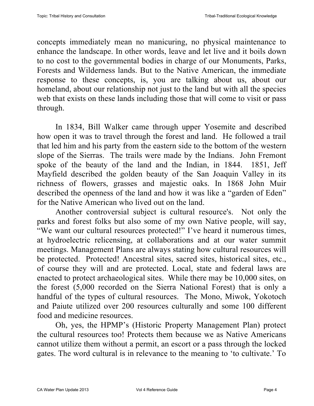concepts immediately mean no manicuring, no physical maintenance to enhance the landscape. In other words, leave and let live and it boils down to no cost to the governmental bodies in charge of our Monuments, Parks, Forests and Wilderness lands. But to the Native American, the immediate response to these concepts, is, you are talking about us, about our homeland, about our relationship not just to the land but with all the species web that exists on these lands including those that will come to visit or pass through.

In 1834, Bill Walker came through upper Yosemite and described how open it was to travel through the forest and land. He followed a trail that led him and his party from the eastern side to the bottom of the western slope of the Sierras. The trails were made by the Indians. John Fremont spoke of the beauty of the land and the Indian, in 1844. 1851, Jeff Mayfield described the golden beauty of the San Joaquin Valley in its richness of flowers, grasses and majestic oaks. In 1868 John Muir described the openness of the land and how it was like a "garden of Eden" for the Native American who lived out on the land.

Another controversial subject is cultural resource's. Not only the parks and forest folks but also some of my own Native people, will say, "We want our cultural resources protected!" I've heard it numerous times, at hydroelectric relicensing, at collaborations and at our water summit meetings. Management Plans are always stating how cultural resources will be protected. Protected! Ancestral sites, sacred sites, historical sites, etc., of course they will and are protected. Local, state and federal laws are enacted to protect archaeological sites. While there may be 10,000 sites, on the forest (5,000 recorded on the Sierra National Forest) that is only a handful of the types of cultural resources. The Mono, Miwok, Yokotoch and Paiute utilized over 200 resources culturally and some 100 different food and medicine resources.

Oh, yes, the HPMP's (Historic Property Management Plan) protect the cultural resources too! Protects them because we as Native Americans cannot utilize them without a permit, an escort or a pass through the locked gates. The word cultural is in relevance to the meaning to 'to cultivate.' To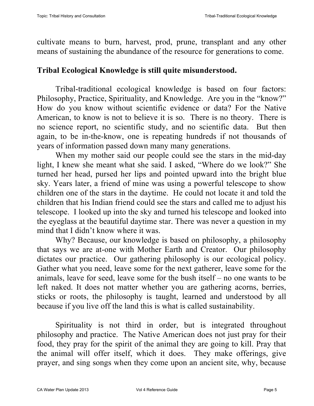cultivate means to burn, harvest, prod, prune, transplant and any other means of sustaining the abundance of the resource for generations to come.

## **Tribal Ecological Knowledge is still quite misunderstood.**

Tribal-traditional ecological knowledge is based on four factors: Philosophy, Practice, Spirituality, and Knowledge. Are you in the "know?" How do you know without scientific evidence or data? For the Native American, to know is not to believe it is so. There is no theory. There is no science report, no scientific study, and no scientific data. But then again, to be in-the-know, one is repeating hundreds if not thousands of years of information passed down many many generations.

When my mother said our people could see the stars in the mid-day light, I knew she meant what she said. I asked, "Where do we look?" She turned her head, pursed her lips and pointed upward into the bright blue sky. Years later, a friend of mine was using a powerful telescope to show children one of the stars in the daytime. He could not locate it and told the children that his Indian friend could see the stars and called me to adjust his telescope. I looked up into the sky and turned his telescope and looked into the eyeglass at the beautiful daytime star. There was never a question in my mind that I didn't know where it was.

Why? Because, our knowledge is based on philosophy, a philosophy that says we are at-one with Mother Earth and Creator. Our philosophy dictates our practice. Our gathering philosophy is our ecological policy. Gather what you need, leave some for the next gatherer, leave some for the animals, leave for seed, leave some for the bush itself – no one wants to be left naked. It does not matter whether you are gathering acorns, berries, sticks or roots, the philosophy is taught, learned and understood by all because if you live off the land this is what is called sustainability.

Spirituality is not third in order, but is integrated throughout philosophy and practice. The Native American does not just pray for their food, they pray for the spirit of the animal they are going to kill. Pray that the animal will offer itself, which it does. They make offerings, give prayer, and sing songs when they come upon an ancient site, why, because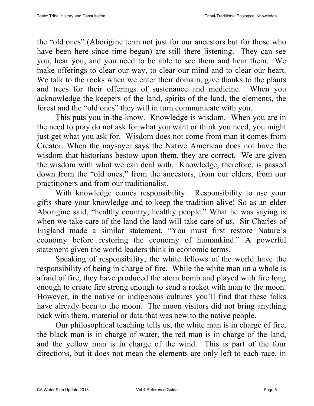the "old ones" (Aborigine term not just for our ancestors but for those who have been here since time began) are still there listening. They can see you, hear you, and you need to be able to see them and hear them. We make offerings to clear our way, to clear our mind and to clear our heart. We talk to the rocks when we enter their domain, give thanks to the plants and trees for their offerings of sustenance and medicine. When you acknowledge the keepers of the land, spirits of the land, the elements, the forest and the "old ones" they will in turn communicate with you.

This puts you in-the-know. Knowledge is wisdom. When you are in the need to pray do not ask for what you want or think you need, you might just get what you ask for. Wisdom does not come from man it comes from Creator. When the naysayer says the Native American does not have the wisdom that historians bestow upon them, they are correct. We are given the wisdom with what we can deal with. Knowledge, therefore, is passed down from the "old ones," from the ancestors, from our elders, from our practitioners and from our traditionalist.

With knowledge comes responsibility. Responsibility to use your gifts share your knowledge and to keep the tradition alive! So as an elder Aborigine said, "healthy country, healthy people." What he was saying is when we take care of the land the land will take care of us. Sir Charles of England made a similar statement, "You must first restore Nature's economy before restoring the economy of humankind." A powerful statement given the world leaders think in economic terms.

Speaking of responsibility, the white fellows of the world have the responsibility of being in charge of fire. While the white man on a whole is afraid of fire, they have produced the atom bomb and played with fire long enough to create fire strong enough to send a rocket with man to the moon. However, in the native or indigenous cultures you'll find that these folks have already been to the moon. The moon visitors did not bring anything back with them, material or data that was new to the native people.

Our philosophical teaching tells us, the white man is in charge of fire, the black man is in charge of water, the red man is in charge of the land, and the yellow man is in charge of the wind. This is part of the four directions, but it does not mean the elements are only left to each race, in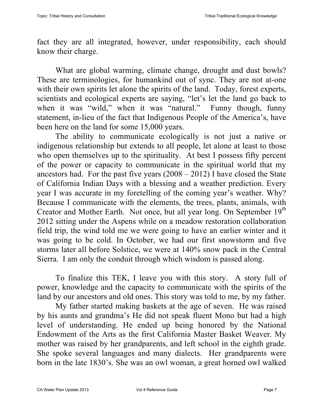fact they are all integrated, however, under responsibility, each should know their charge.

What are global warming, climate change, drought and dust bowls? These are terminologies, for humankind out of sync. They are not at-one with their own spirits let alone the spirits of the land. Today, forest experts, scientists and ecological experts are saying, "let's let the land go back to when it was "wild," when it was "natural." Funny though, funny statement, in-lieu of the fact that Indigenous People of the America's, have been here on the land for some 15,000 years.

The ability to communicate ecologically is not just a native or indigenous relationship but extends to all people, let alone at least to those who open themselves up to the spirituality. At best I possess fifty percent of the power or capacity to communicate in the spiritual world that my ancestors had. For the past five years  $(2008 – 2012)$  I have closed the State of California Indian Days with a blessing and a weather prediction. Every year I was accurate in my foretelling of the coming year's weather. Why? Because I communicate with the elements, the trees, plants, animals, with Creator and Mother Earth. Not once, but all year long. On September 19<sup>th</sup> 2012 sitting under the Aspens while on a meadow restoration collaboration field trip, the wind told me we were going to have an earlier winter and it was going to be cold. In October, we had our first snowstorm and five storms later all before Solstice, we were at 140% snow pack in the Central Sierra. I am only the conduit through which wisdom is passed along.

To finalize this TEK, I leave you with this story. A story full of power, knowledge and the capacity to communicate with the spirits of the land by our ancestors and old ones. This story was told to me, by my father.

My father started making baskets at the age of seven. He was raised by his aunts and grandma's He did not speak fluent Mono but had a high level of understanding. He ended up being honored by the National Endowment of the Arts as the first California Master Basket Weaver. My mother was raised by her grandparents, and left school in the eighth grade. She spoke several languages and many dialects. Her grandparents were born in the late 1830's. She was an owl woman, a great horned owl walked